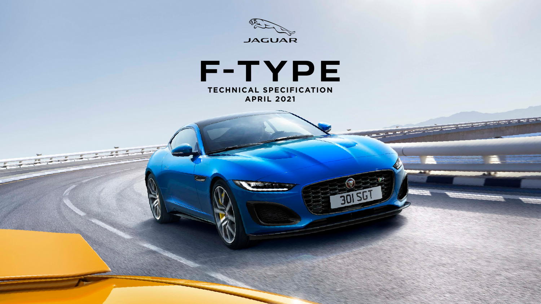



 $\overline{a}$ 

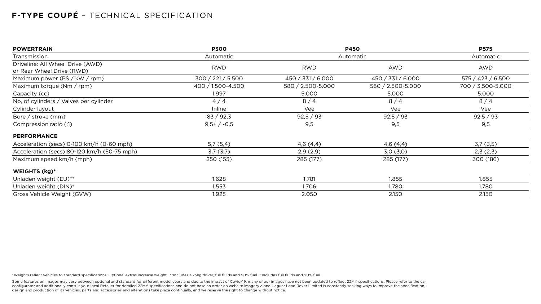| <b>POWERTRAIN</b>                                             | <b>P300</b>       | <b>P450</b><br>Automatic |                   | <b>P575</b>       |
|---------------------------------------------------------------|-------------------|--------------------------|-------------------|-------------------|
| Transmission                                                  | Automatic         |                          |                   | Automatic         |
| Driveline: All Wheel Drive (AWD)<br>or Rear Wheel Drive (RWD) | <b>RWD</b>        | <b>RWD</b>               | AWD               | <b>AWD</b>        |
| Maximum power (PS / kW / rpm)                                 | 300 / 221 / 5.500 | 450 / 331 / 6.000        | 450 / 331 / 6.000 | 575 / 423 / 6.500 |
| Maximum torque $(Nm / rpm)$                                   | 400 / 1.500-4.500 | 580 / 2.500-5.000        | 580 / 2.500-5.000 | 700 / 3.500-5.000 |
| Capacity (cc)                                                 | 1.997             | 5.000                    | 5.000             | 5.000             |
| No, of cylinders / Valves per cylinder                        | 4/4               | 8/4                      | 8/4               | 8/4               |
| Cylinder layout                                               | Inline            | Vee                      | Vee               | Vee               |
| Bore / stroke $(mm)$                                          | 83 / 92,3         | 92,5 / 93                | 92,5 / 93         | 92,5 / 93         |
| Compression ratio (:1)                                        | $9,5+/-0,5$       | 9,5                      | 9,5               | 9,5               |
| <b>PERFORMANCE</b>                                            |                   |                          |                   |                   |
| Acceleration (secs) 0-100 km/h (0-60 mph)                     | 5,7(5,4)          | 4,6(4,4)                 | 4,6(4,4)          | 3,7(3,5)          |
| Acceleration (secs) 80-120 km/h (50-75 mph)                   | 3,7(3,7)          | 2,9(2,9)                 | 3,0(3,0)          | 2,3(2,3)          |
| Maximum speed km/h (mph)                                      | 250 (155)         | 285 (177)                | 285 (177)         | 300 (186)         |
| <b>WEIGHTS (kg)*</b>                                          |                   |                          |                   |                   |
| Unladen weight (EU)**                                         | 1.628             | 1.781                    | 1.855             | 1.855             |
| Unladen weight (DIN) <sup>+</sup>                             | 1.553             | 1.706                    | 1.780             | 1.780             |
| Gross Vehicle Weight (GVW)                                    | 1.925             | 2.050                    | 2.150             | 2.150             |

Some features on images may vary between optional and standard for different model years and due to the impact of Covid-19, many of our images have not been updated to reflect 22MY specifications. Please refer to the car configurator and additionally consult your local Retailer for detailed 22MY specifications and do not base an order on website imagery alone. Jaguar Land Rover Limited is constantly seeking ways to improve the specification, design and production of its vehicles, parts and accessories and alterations take place continually, and we reserve the right to change without notice.

\*Weights reflect vehicles to standard specifications. Optional extras increase weight. \*\*Includes a 75kg driver, full fluids and 90% fuel. †Includes full fluids and 90% fuel.

## **F-TYPE COUPÉ** – TECHNICAL SPECIFICATION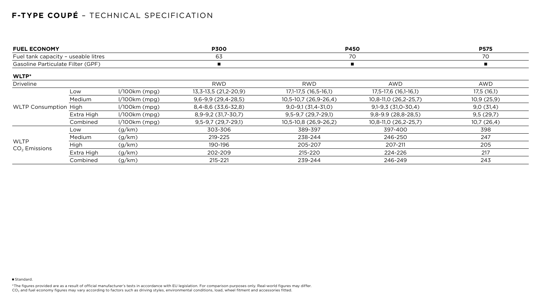# **F-TYPE COUPÉ** – TECHNICAL SPECIFICATION

\*The figures provided are as a result of official manufacturer's tests in accordance with EU legislation. For comparison purposes only. Real-world figures may differ. CO $_{2}$  and fuel economy figures may vary according to factors such as driving styles, environmental conditions, load, wheel fitment and accessories fitted.

| <b>FUEL ECONOMY</b>                                                      |            |                      | <b>P300</b>            | <b>P450</b>            |                       | <b>P575</b> |
|--------------------------------------------------------------------------|------------|----------------------|------------------------|------------------------|-----------------------|-------------|
| Fuel tank capacity - useable litres<br>Gasoline Particulate Filter (GPF) |            | 63<br>$\blacksquare$ | 70                     |                        | 70                    |             |
|                                                                          |            |                      |                        |                        |                       | WLTP*       |
| <b>Driveline</b>                                                         |            |                      | <b>RWD</b>             | <b>RWD</b>             | <b>AWD</b>            | <b>AWD</b>  |
| <b>WLTP Consumption High</b>                                             | Low        | $1/100km$ (mpg)      | $13,3-13,5(21,2-20,9)$ | $17,1-17,5(16,5-16,1)$ | 17,5-17,6 (16,1-16,1) | 17,5(16,1)  |
|                                                                          | Medium     | $1/100km$ (mpg)      | $9,6-9,9(29,4-28,5)$   | 10,5-10,7 (26,9-26,4)  | 10,8-11,0 (26,2-25,7) | 10,9(25,9)  |
|                                                                          |            | $1/100km$ (mpg)      | $8,4-8,6$ (33,6-32,8)  | $9,0-9,1(31,4-31,0)$   | $9,1-9,3(31,0-30,4)$  | 9,0(31,4)   |
|                                                                          | Extra High | $1/100km$ (mpg)      | 8,9-9,2 (31,7-30,7)    | $9,5-9,7(29,7-29,1)$   | $9,8-9.9(28,8-28,5)$  | 9,5(29,7)   |
|                                                                          | Combined   | $1/100km$ (mpg)      | $9,5-9,7(29,7-29,1)$   | 10,5-10,8 (26,9-26,2)  | 10,8-11,0 (26,2-25,7) | 10,7(26,4)  |
| <b>WLTP</b><br>$CO2$ Emissions                                           | Low        | (g/km)               | 303-306                | 389-397                | 397-400               | 398         |
|                                                                          | Medium     | (g/km)               | 219-225                | 238-244                | 246-250               | 247         |
|                                                                          | High       | (g/km)               | 190-196                | 205-207                | 207-211               | 205         |
|                                                                          | Extra High | (g/km)               | 202-209                | 215-220                | 224-226               | 217         |
|                                                                          | Combined   | (g/km)               | 215-221                | 239-244                | 246-249               | 243         |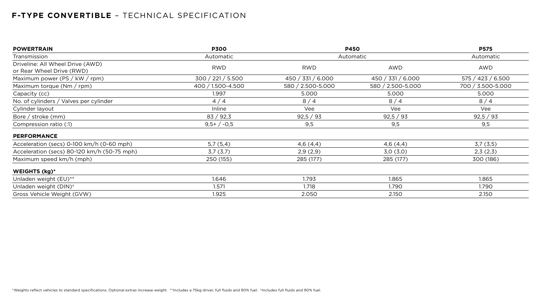### **F-TYPE CONVERTIBLE** – TECHNICAL SPECIFICATION

| <b>POWERTRAIN</b>                                             | <b>P300</b>       | <b>P450</b><br>Automatic |                   | <b>P575</b>       |  |
|---------------------------------------------------------------|-------------------|--------------------------|-------------------|-------------------|--|
| Transmission                                                  | Automatic         |                          |                   | Automatic         |  |
| Driveline: All Wheel Drive (AWD)<br>or Rear Wheel Drive (RWD) | <b>RWD</b>        | <b>RWD</b>               | <b>AWD</b>        | AWD               |  |
| Maximum power (PS / kW / rpm)                                 | 300 / 221 / 5.500 | 450 / 331 / 6.000        | 450 / 331 / 6.000 | 575 / 423 / 6.500 |  |
| Maximum torque $(Nm / rpm)$                                   | 400 / 1.500-4.500 | 580 / 2.500-5.000        | 580 / 2.500-5.000 | 700 / 3.500-5.000 |  |
| Capacity (cc)                                                 | 1.997             | 5.000                    | 5.000             | 5.000             |  |
| No. of cylinders / Valves per cylinder                        | 4/4               | 8/4                      | 8/4               | 8/4               |  |
| Cylinder layout                                               | Inline            | Vee                      | Vee               | Vee               |  |
| Bore / stroke (mm)                                            | 83 / 92,3         | 92,5 / 93                | 92,5 / 93         | 92,5 / 93         |  |
| Compression ratio (:1)                                        | $9,5+/-0,5$       | 9,5                      | 9,5               | 9,5               |  |
| <b>PERFORMANCE</b>                                            |                   |                          |                   |                   |  |
| Acceleration (secs) 0-100 km/h (0-60 mph)                     | 5,7(5,4)          | 4,6(4,4)                 | 4,6(4,4)          | 3,7(3,5)          |  |
| Acceleration (secs) 80-120 km/h (50-75 mph)                   | 3,7(3,7)          | 2,9(2,9)                 | 3,0(3,0)          | 2,3(2,3)          |  |
| Maximum speed km/h (mph)                                      | 250 (155)         | 285 (177)                | 285 (177)         | 300 (186)         |  |
| WEIGHTS (kg)*                                                 |                   |                          |                   |                   |  |
| Unladen weight (EU)**                                         | 1.646             | 1.793                    | 1.865             | 1.865             |  |
| Unladen weight (DIN) <sup>+</sup>                             | 1.571             | 1.718                    | 1.790             | 1.790             |  |
| Gross Vehicle Weight (GVW)                                    | 1.925             | 2.050                    | 2.150             | 2.150             |  |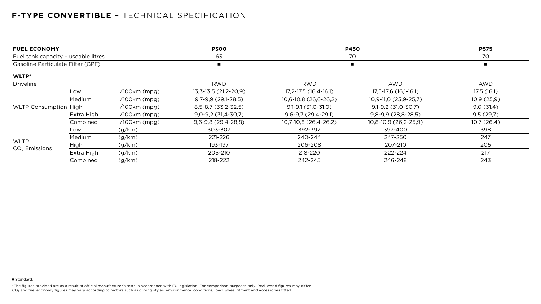### **F-TYPE CONVERTIBLE** – TECHNICAL SPECIFICATION

\*The figures provided are as a result of official manufacturer's tests in accordance with EU legislation. For comparison purposes only. Real-world figures may differ. CO $_{2}$  and fuel economy figures may vary according to factors such as driving styles, environmental conditions, load, wheel fitment and accessories fitted.

| <b>FUEL ECONOMY</b>                                                      |            |                 | <b>P300</b>                   | <b>P450</b>               |                        | <b>P575</b>    |
|--------------------------------------------------------------------------|------------|-----------------|-------------------------------|---------------------------|------------------------|----------------|
| Fuel tank capacity - useable litres<br>Gasoline Particulate Filter (GPF) |            | 63              | 70                            |                           | 70                     |                |
|                                                                          |            |                 |                               |                           |                        | $\blacksquare$ |
| WLTP*                                                                    |            |                 |                               |                           |                        |                |
| <b>Driveline</b>                                                         |            |                 | <b>RWD</b>                    | <b>RWD</b>                | <b>AWD</b>             | AWD            |
| <b>WLTP Consumption High</b>                                             | Low        | $1/100km$ (mpg) | 13, 3 - 13, 5 (21, 2 - 20, 9) | 17, 2-17, 5 (16, 4-16, 1) | 17,5-17,6 (16,1-16,1)  | 17,5(16,1)     |
|                                                                          | Medium     | $1/100km$ (mpg) | $9,7-9,9(29,1-28,5)$          | $10,6-10,8(26,6-26,2)$    | 10,9-11,0 (25,9-25,7)  | 10,9(25,9)     |
|                                                                          |            | $1/100km$ (mpg) | 8, 5 - 8, 7 (33, 2 - 32, 5)   | $9,1 - 9,1$ (31,0-31,0)   | $9,1-9,2$ (31,0-30,7)  | 9,0(31,4)      |
|                                                                          | Extra High | $1/100km$ (mpg) | $9,0-9,2(31,4-30,7)$          | $9,6-9,7(29,4-29,1)$      | $9,8-9,9(28,8-28,5)$   | 9,5(29,7)      |
|                                                                          | Combined   | $1/100km$ (mpg) | $9,6-9,8(29,4-28,8)$          | 10,7-10,8 (26,4-26,2)     | $10,8-10,9(26,2-25,9)$ | 10,7(26,4)     |
| <b>WLTP</b><br>$CO2$ Emissions                                           | Low        | (g/km)          | 303-307                       | 392-397                   | 397-400                | 398            |
|                                                                          | Medium     | (g/km)          | 221-226                       | 240-244                   | 247-250                | 247            |
|                                                                          | High       | (g/km)          | 193-197                       | 206-208                   | 207-210                | 205            |
|                                                                          | Extra High | (g/km)          | 205-210                       | 218-220                   | 222-224                | 217            |
|                                                                          | Combined   | (g/km)          | 218-222                       | 242-245                   | 246-248                | 243            |

■ Standard.